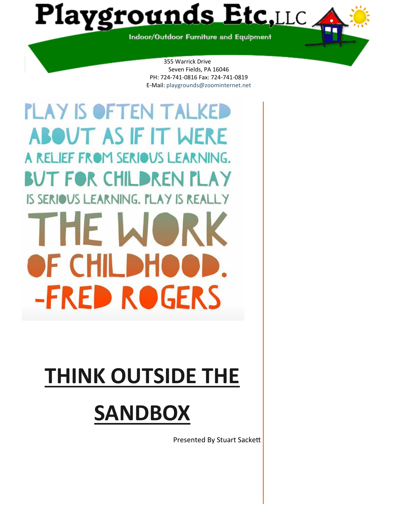Playgrounds Etc,LLC

Indoor/Outdoor Furniture and Equipment

355 Warrick Drive Seven Fields, PA 16046 PH: 724-741-0816 Fax: 724-741-0819 E-Mail: playgrounds@zoominternet.net

**PLAY IS OFTEN TALKED ABOUT AS IF IT WERE** A RELIEF FROM SERIOUS LEARNING. BUT FOR CHILDREN PLAY IS SERIOUS LEARNING. PLAY IS REAL THE W OF CHILDI **-FRED ROGERS** 

# **THINK OUTSIDE THE**

# **SANDBOX**

Presented By Stuart Sackett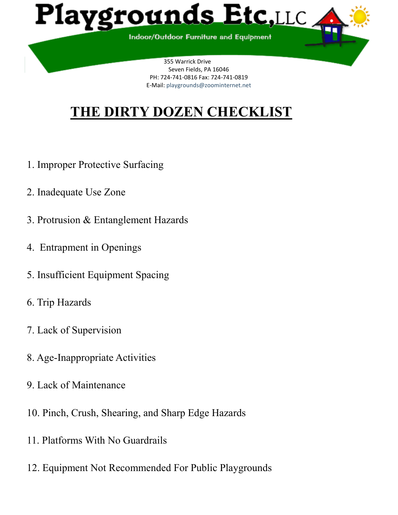

# **THE DIRTY DOZEN CHECKLIST**

- 1. Improper Protective Surfacing
- 2. Inadequate Use Zone
- 3. Protrusion & Entanglement Hazards
- 4. Entrapment in Openings
- 5. Insufficient Equipment Spacing
- 6. Trip Hazards
- 7. Lack of Supervision
- 8. Age-Inappropriate Activities
- 9. Lack of Maintenance
- 10. Pinch, Crush, Shearing, and Sharp Edge Hazards
- 11. Platforms With No Guardrails
- 12. Equipment Not Recommended For Public Playgrounds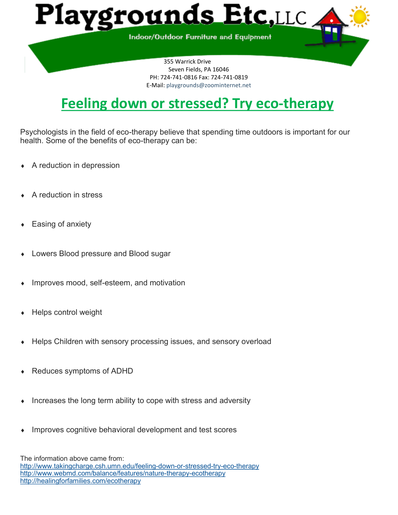

# **Feeling down or stressed? Try eco-therapy**

Psychologists in the field of eco-therapy believe that spending time outdoors is important for our health. Some of the benefits of eco-therapy can be:

- A reduction in depression
- A reduction in stress
- Easing of anxiety
- Lowers Blood pressure and Blood sugar
- Improves mood, self-esteem, and motivation
- Helps control weight
- Helps Children with sensory processing issues, and sensory overload
- Reduces symptoms of ADHD
- Increases the long term ability to cope with stress and adversity
- Improves cognitive behavioral development and test scores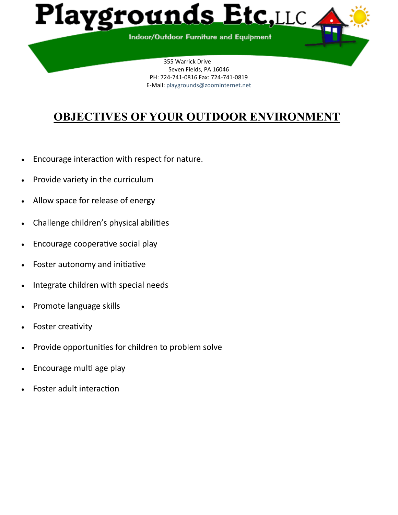

# **OBJECTIVES OF YOUR OUTDOOR ENVIRONMENT**

- Encourage interaction with respect for nature.
- Provide variety in the curriculum
- Allow space for release of energy
- Challenge children's physical abilities
- Encourage cooperative social play
- Foster autonomy and initiative
- Integrate children with special needs
- Promote language skills
- Foster creativity
- Provide opportunities for children to problem solve
- Encourage multi age play
- Foster adult interaction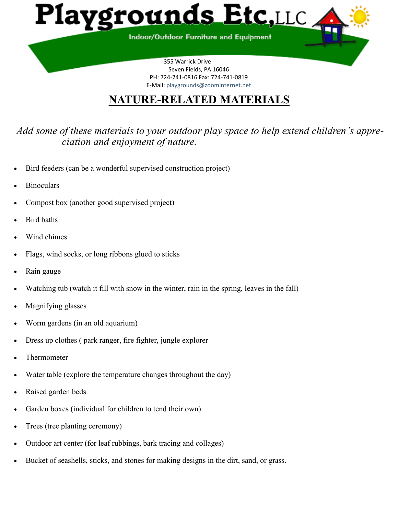

# **NATURE-RELATED MATERIALS**

*Add some of these materials to your outdoor play space to help extend children's appreciation and enjoyment of nature.* 

- Bird feeders (can be a wonderful supervised construction project)
- **Binoculars**
- Compost box (another good supervised project)
- Bird baths
- Wind chimes
- Flags, wind socks, or long ribbons glued to sticks
- Rain gauge
- Watching tub (watch it fill with snow in the winter, rain in the spring, leaves in the fall)
- Magnifying glasses
- Worm gardens (in an old aquarium)
- Dress up clothes ( park ranger, fire fighter, jungle explorer
- Thermometer
- Water table (explore the temperature changes throughout the day)
- Raised garden beds
- Garden boxes (individual for children to tend their own)
- Trees (tree planting ceremony)
- Outdoor art center (for leaf rubbings, bark tracing and collages)
- Bucket of seashells, sticks, and stones for making designs in the dirt, sand, or grass.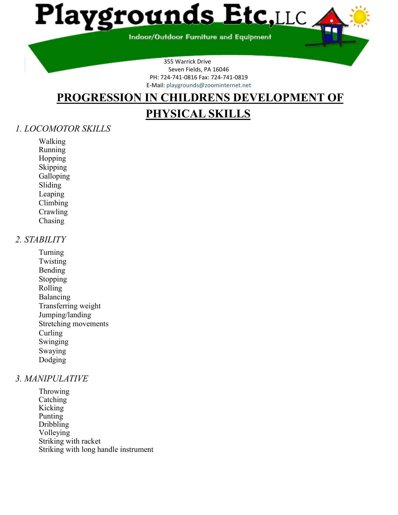

**Indoor/Outdoor Furniture and Equipment** 

355 Warrick Drive Seven Fields, PA 16046 PH: 724-741-0816 Fax: 724-741-0819 E-Mail: playgrounds@zoominternet.net

# **PROGRESSION IN CHILDRENS DEVELOPMENT OF**

# **PHYSICAL SKILLS**

#### *1. LOCOMOTOR SKILLS*

Walking Running Hopping Skipping Galloping Sliding Leaping Climbing **Crawling** Chasing

#### *2. STABILITY*

Turning Twisting Bending Stopping Rolling Balancing Transferring weight Jumping/landing Stretching movements Curling Swinging Swaying Dodging

#### *3. MANIPULATIVE*

Throwing **Catching** Kicking Punting Dribbling Volleying Striking with racket Striking with long handle instrument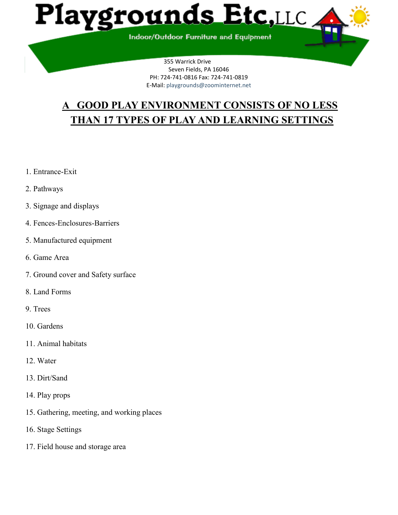

# **A GOOD PLAY ENVIRONMENT CONSISTS OF NO LESS THAN 17 TYPES OF PLAY AND LEARNING SETTINGS**

- 1. Entrance-Exit
- 2. Pathways
- 3. Signage and displays
- 4. Fences-Enclosures-Barriers
- 5. Manufactured equipment
- 6. Game Area
- 7. Ground cover and Safety surface
- 8. Land Forms
- 9. Trees
- 10. Gardens
- 11. Animal habitats
- 12. Water
- 13. Dirt/Sand
- 14. Play props
- 15. Gathering, meeting, and working places
- 16. Stage Settings
- 17. Field house and storage area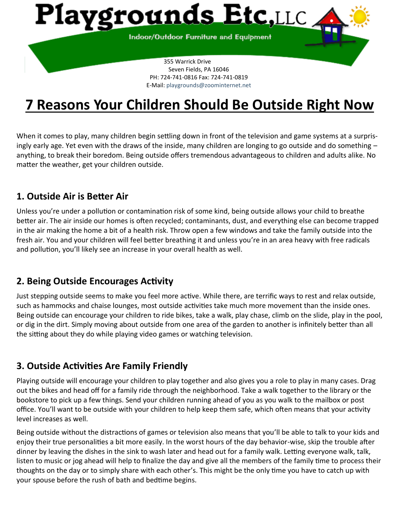

# **7 Reasons Your Children Should Be Outside Right Now**

When it comes to play, many children begin settling down in front of the television and game systems at a surprisingly early age. Yet even with the draws of the inside, many children are longing to go outside and do something – anything, to break their boredom. Being outside offers tremendous advantageous to children and adults alike. No matter the weather, get your children outside.

#### **1. Outside Air is Better Air**

Unless you're under a pollution or contamination risk of some kind, being outside allows your child to breathe better air. The air inside our homes is often recycled; contaminants, dust, and everything else can become trapped in the air making the home a bit of a health risk. Throw open a few windows and take the family outside into the fresh air. You and your children will feel better breathing it and unless you're in an area heavy with free radicals and pollution, you'll likely see an increase in your overall health as well.

### **2. Being Outside Encourages Activity**

Just stepping outside seems to make you feel more active. While there, are terrific ways to rest and relax outside, such as hammocks and chaise lounges, most outside activities take much more movement than the inside ones. Being outside can encourage your children to ride bikes, take a walk, play chase, climb on the slide, play in the pool, or dig in the dirt. Simply moving about outside from one area of the garden to another is infinitely better than all the sitting about they do while playing video games or watching television.

### **3. Outside Activities Are Family Friendly**

Playing outside will encourage your children to play together and also gives you a role to play in many cases. Drag out the bikes and head off for a family ride through the neighborhood. Take a walk together to the library or the bookstore to pick up a few things. Send your children running ahead of you as you walk to the mailbox or post office. You'll want to be outside with your children to help keep them safe, which often means that your activity level increases as well.

Being outside without the distractions of games or television also means that you'll be able to talk to your kids and enjoy their true personalities a bit more easily. In the worst hours of the day behavior-wise, skip the trouble after dinner by leaving the dishes in the sink to wash later and head out for a family walk. Letting everyone walk, talk, listen to music or jog ahead will help to finalize the day and give all the members of the family time to process their thoughts on the day or to simply share with each other's. This might be the only time you have to catch up with your spouse before the rush of bath and bedtime begins.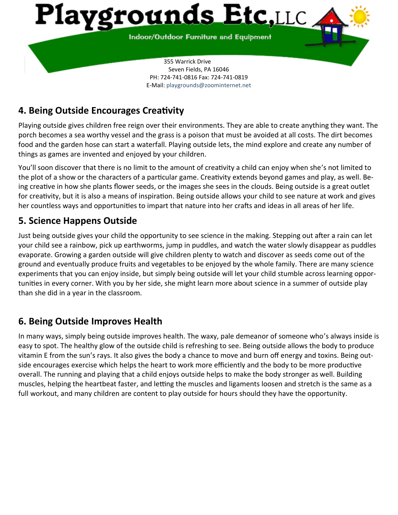

PH: 724-741-0816 Fax: 724-741-0819 E-Mail: playgrounds@zoominternet.net

# **4. Being Outside Encourages Creativity**

Playing outside gives children free reign over their environments. They are able to create anything they want. The porch becomes a sea worthy vessel and the grass is a poison that must be avoided at all costs. The dirt becomes food and the garden hose can start a waterfall. Playing outside lets, the mind explore and create any number of things as games are invented and enjoyed by your children.

You'll soon discover that there is no limit to the amount of creativity a child can enjoy when she's not limited to the plot of a show or the characters of a particular game. Creativity extends beyond games and play, as well. Being creative in how she plants flower seeds, or the images she sees in the clouds. Being outside is a great outlet for creativity, but it is also a means of inspiration. Being outside allows your child to see nature at work and gives her countless ways and opportunities to impart that nature into her crafts and ideas in all areas of her life.

## **5. Science Happens Outside**

Just being outside gives your child the opportunity to see science in the making. Stepping out after a rain can let your child see a rainbow, pick up earthworms, jump in puddles, and watch the water slowly disappear as puddles evaporate. Growing a garden outside will give children plenty to watch and discover as seeds come out of the ground and eventually produce fruits and vegetables to be enjoyed by the whole family. There are many science experiments that you can enjoy inside, but simply being outside will let your child stumble across learning opportunities in every corner. With you by her side, she might learn more about science in a summer of outside play than she did in a year in the classroom.

### **6. Being Outside Improves Health**

In many ways, simply being outside improves health. The waxy, pale demeanor of someone who's always inside is easy to spot. The healthy glow of the outside child is refreshing to see. Being outside allows the body to produce vitamin E from the sun's rays. It also gives the body a chance to move and burn off energy and toxins. Being outside encourages exercise which helps the heart to work more efficiently and the body to be more productive overall. The running and playing that a child enjoys outside helps to make the body stronger as well. Building muscles, helping the heartbeat faster, and letting the muscles and ligaments loosen and stretch is the same as a full workout, and many children are content to play outside for hours should they have the opportunity.